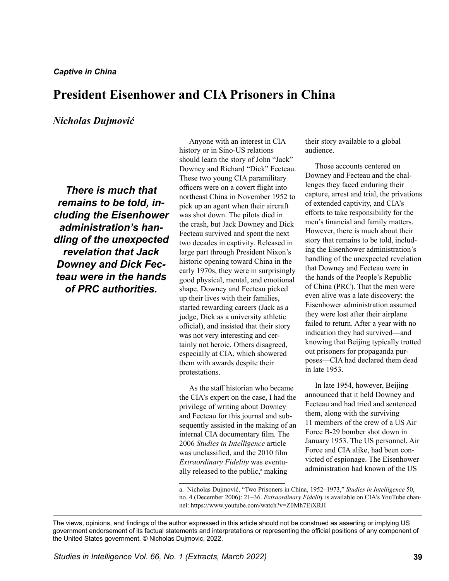# **President Eisenhower and CIA Prisoners in China**

## *Nicholas Dujmović*

*There is much that remains to be told, including the Eisenhower administration's handling of the unexpected revelation that Jack Downey and Dick Fecteau were in the hands of PRC authorities.* 

Anyone with an interest in CIA history or in Sino-US relations should learn the story of John "Jack" Downey and Richard "Dick" Fecteau. These two young CIA paramilitary officers were on a covert flight into northeast China in November 1952 to pick up an agent when their aircraft was shot down. The pilots died in the crash, but Jack Downey and Dick Fecteau survived and spent the next two decades in captivity. Released in large part through President Nixon's historic opening toward China in the early 1970s, they were in surprisingly good physical, mental, and emotional shape. Downey and Fecteau picked up their lives with their families, started rewarding careers (Jack as a judge, Dick as a university athletic official), and insisted that their story was not very interesting and certainly not heroic. Others disagreed, especially at CIA, which showered them with awards despite their protestations.

As the staff historian who became the CIA's expert on the case, I had the privilege of writing about Downey and Fecteau for this journal and subsequently assisted in the making of an internal CIA documentary film. The 2006 *Studies in Intelligence* article was unclassified, and the 2010 film *Extraordinary Fidelity* was eventually released to the public,<sup>a</sup> making

their story available to a global audience.

Those accounts centered on Downey and Fecteau and the challenges they faced enduring their capture, arrest and trial, the privations of extended captivity, and CIA's efforts to take responsibility for the men's financial and family matters. However, there is much about their story that remains to be told, including the Eisenhower administration's handling of the unexpected revelation that Downey and Fecteau were in the hands of the People's Republic of China (PRC). That the men were even alive was a late discovery; the Eisenhower administration assumed they were lost after their airplane failed to return. After a year with no indication they had survived—and knowing that Beijing typically trotted out prisoners for propaganda purposes—CIA had declared them dead in late 1953.

In late 1954, however, Beijing announced that it held Downey and Fecteau and had tried and sentenced them, along with the surviving 11 members of the crew of a US Air Force B-29 bomber shot down in January 1953. The US personnel, Air Force and CIA alike, had been convicted of espionage. The Eisenhower administration had known of the US

a. Nicholas Dujmović, "Two Prisoners in China, 1952–1973," *Studies in Intelligence* 50, no. 4 (December 2006): 21–36. *Extraordinary Fidelity* is available on CIA's YouTube channel: https://www.youtube.com/watch?v=Z0Mh7EiXRJI

The views, opinions, and findings of the author expressed in this article should not be construed as asserting or implying US government endorsement of its factual statements and interpretations or representing the official positions of any component of the United States government. © Nicholas Dujmovic, 2022.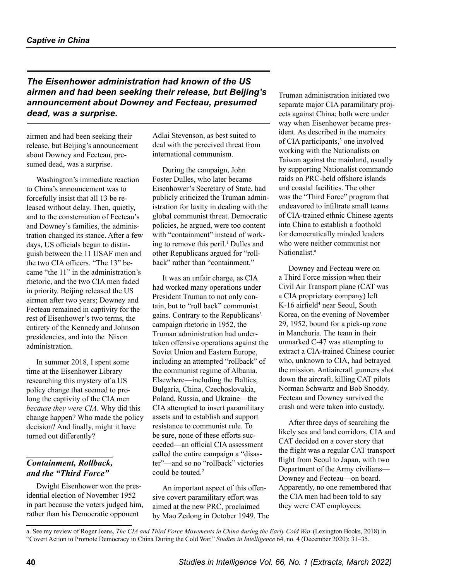# *The Eisenhower administration had known of the US airmen and had been seeking their release, but Beijing's announcement about Downey and Fecteau, presumed dead, was a surprise.*

airmen and had been seeking their release, but Beijing's announcement about Downey and Fecteau, presumed dead, was a surprise.

Washington's immediate reaction to China's announcement was to forcefully insist that all 13 be released without delay. Then, quietly, and to the consternation of Fecteau's and Downey's families, the administration changed its stance. After a few days, US officials began to distinguish between the 11 USAF men and the two CIA officers. "The 13" became "the 11" in the administration's rhetoric, and the two CIA men faded in priority. Beijing released the US airmen after two years; Downey and Fecteau remained in captivity for the rest of Eisenhower's two terms, the entirety of the Kennedy and Johnson presidencies, and into the Nixon administration.

In summer 2018, I spent some time at the Eisenhower Library researching this mystery of a US policy change that seemed to prolong the captivity of the CIA men *because they were CIA*. Why did this change happen? Who made the policy decision? And finally, might it have turned out differently?

# *Containment, Rollback, and the "Third Force"*

Dwight Eisenhower won the presidential election of November 1952 in part because the voters judged him, rather than his Democratic opponent

Adlai Stevenson, as best suited to deal with the perceived threat from international communism.

During the campaign, John Foster Dulles, who later became Eisenhower's Secretary of State, had publicly criticized the Truman administration for laxity in dealing with the global communist threat. Democratic policies, he argued, were too content with "containment" instead of work-ing to remove this peril.<sup>[1](#page-11-0)</sup> Dulles and other Republicans argued for "rollback" rather than "containment."

It was an unfair charge, as CIA had worked many operations under President Truman to not only contain, but to "roll back" communist gains. Contrary to the Republicans' campaign rhetoric in 1952, the Truman administration had undertaken offensive operations against the Soviet Union and Eastern Europe, including an attempted "rollback" of the communist regime of Albania. Elsewhere—including the Baltics, Bulgaria, China, Czechoslovakia, Poland, Russia, and Ukraine—the CIA attempted to insert paramilitary assets and to establish and support resistance to communist rule. To be sure, none of these efforts succeeded—an official CIA assessment called the entire campaign a "disaster"—and so no "rollback" victories could be touted.<sup>2</sup>

An important aspect of this offensive covert paramilitary effort was aimed at the new PRC, proclaimed by Mao Zedong in October 1949. The Truman administration initiated two separate major CIA paramilitary projects against China; both were under way when Eisenhower became president. As described in the memoirs of CIA participants,<sup>[3](#page-11-2)</sup> one involved working with the Nationalists on Taiwan against the mainland, usually by supporting Nationalist commando raids on PRC-held offshore islands and coastal facilities. The other was the "Third Force" program that endeavored to infiltrate small teams of CIA-trained ethnic Chinese agents into China to establish a foothold for democratically minded leaders who were neither communist nor Nationalist<sup>a</sup>

Downey and Fecteau were on a Third Force mission when their Civil Air Transport plane (CAT was a CIA proprietary company) left K-16 airfield<sup>[4](#page-11-3)</sup> near Seoul, South Korea, on the evening of November 29, 1952, bound for a pick-up zone in Manchuria. The team in their unmarked C-47 was attempting to extract a CIA-trained Chinese courier who, unknown to CIA, had betrayed the mission. Antiaircraft gunners shot down the aircraft, killing CAT pilots Norman Schwartz and Bob Snoddy. Fecteau and Downey survived the crash and were taken into custody.

After three days of searching the likely sea and land corridors, CIA and CAT decided on a cover story that the flight was a regular CAT transport flight from Seoul to Japan, with two Department of the Army civilians— Downey and Fecteau—on board. Apparently, no one remembered that the CIA men had been told to say they were CAT employees.

a. See my review of Roger Jeans, *The CIA and Third Force Movements in China during the Early Cold War* (Lexington Books, 2018) in "Covert Action to Promote Democracy in China During the Cold War," *Studies in Intelligence* 64, no. 4 (December 2020): 31–35.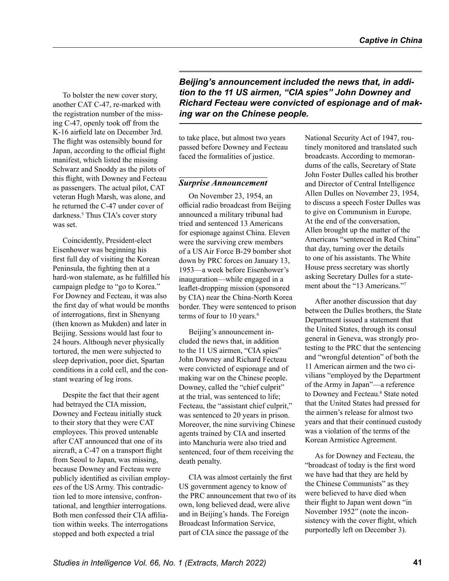To bolster the new cover story, another CAT C-47, re-marked with the registration number of the missing C-47, openly took off from the K-16 airfield late on December 3rd. The flight was ostensibly bound for Japan, according to the official flight manifest, which listed the missing Schwarz and Snoddy as the pilots of this flight, with Downey and Fecteau as passengers. The actual pilot, CAT veteran Hugh Marsh, was alone, and he returned the C-47 under cover of darkness.<sup>[5](#page-11-4)</sup> Thus CIA's cover story was set.

Coincidently, President-elect Eisenhower was beginning his first full day of visiting the Korean Peninsula, the fighting then at a hard-won stalemate, as he fulfilled his campaign pledge to "go to Korea." For Downey and Fecteau, it was also the first day of what would be months of interrogations, first in Shenyang (then known as Mukden) and later in Beijing. Sessions would last four to 24 hours. Although never physically tortured, the men were subjected to sleep deprivation, poor diet, Spartan conditions in a cold cell, and the constant wearing of leg irons.

Despite the fact that their agent had betrayed the CIA mission, Downey and Fecteau initially stuck to their story that they were CAT employees. This proved untenable after CAT announced that one of its aircraft, a C-47 on a transport flight from Seoul to Japan, was missing, because Downey and Fecteau were publicly identified as civilian employees of the US Army. This contradiction led to more intensive, confrontational, and lengthier interrogations. Both men confessed their CIA affiliation within weeks. The interrogations stopped and both expected a trial

*Beijing's announcement included the news that, in addition to the 11 US airmen, "CIA spies" John Downey and Richard Fecteau were convicted of espionage and of making war on the Chinese people.* 

to take place, but almost two years passed before Downey and Fecteau faced the formalities of justice.

#### *Surprise Announcement*

On November 23, 1954, an official radio broadcast from Beijing announced a military tribunal had tried and sentenced 13 Americans for espionage against China. Eleven were the surviving crew members of a US Air Force B-29 bomber shot down by PRC forces on January 13, 1953—a week before Eisenhower's inauguration—while engaged in a leaflet-dropping mission (sponsored by CIA) near the China-North Korea border. They were sentenced to prison terms of four to 10 years.<sup>6</sup>

Beijing's announcement included the news that, in addition to the 11 US airmen, "CIA spies" John Downey and Richard Fecteau were convicted of espionage and of making war on the Chinese people. Downey, called the "chief culprit" at the trial, was sentenced to life; Fecteau, the "assistant chief culprit," was sentenced to 20 years in prison. Moreover, the nine surviving Chinese agents trained by CIA and inserted into Manchuria were also tried and sentenced, four of them receiving the death penalty.

CIA was almost certainly the first US government agency to know of the PRC announcement that two of its own, long believed dead, were alive and in Beijing's hands. The Foreign Broadcast Information Service, part of CIA since the passage of the

National Security Act of 1947, routinely monitored and translated such broadcasts. According to memorandums of the calls, Secretary of State John Foster Dulles called his brother and Director of Central Intelligence Allen Dulles on November 23, 1954, to discuss a speech Foster Dulles was to give on Communism in Europe. At the end of the conversation, Allen brought up the matter of the Americans "sentenced in Red China" that day, turning over the details to one of his assistants. The White House press secretary was shortly asking Secretary Dulles for a statement about the "13 Americans."<sup>7</sup>

After another discussion that day between the Dulles brothers, the State Department issued a statement that the United States, through its consul general in Geneva, was strongly protesting to the PRC that the sentencing and "wrongful detention" of both the 11 American airmen and the two civilians "employed by the Department of the Army in Japan"—a reference to Downey and Fecteau.<sup>[8](#page-11-7)</sup> State noted that the United States had pressed for the airmen's release for almost two years and that their continued custody was a violation of the terms of the Korean Armistice Agreement.

As for Downey and Fecteau, the "broadcast of today is the first word we have had that they are held by the Chinese Communists" as they were believed to have died when their flight to Japan went down "in November 1952" (note the inconsistency with the cover flight, which purportedly left on December 3).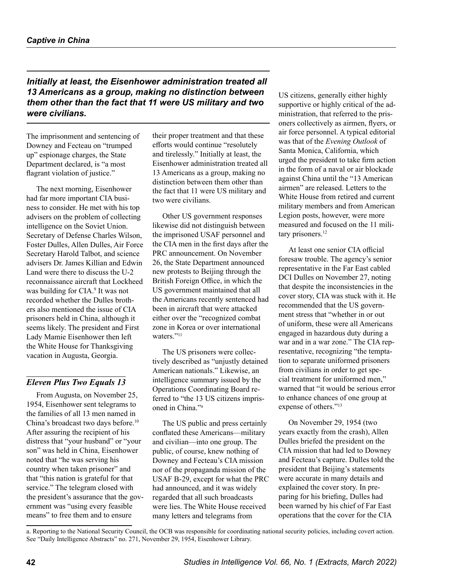*Initially at least, the Eisenhower administration treated all 13 Americans as a group, making no distinction between them other than the fact that 11 were US military and two were civilians.*

The imprisonment and sentencing of Downey and Fecteau on "trumped up" espionage charges, the State Department declared, is "a most flagrant violation of justice."

The next morning, Eisenhower had far more important CIA business to consider. He met with his top advisers on the problem of collecting intelligence on the Soviet Union. Secretary of Defense Charles Wilson, Foster Dulles, Allen Dulles, Air Force Secretary Harold Talbot, and science advisers Dr. James Killian and Edwin Land were there to discuss the U-2 reconnaissance aircraft that Lockheed was building for CIA.<sup>9</sup> It was not recorded whether the Dulles brothers also mentioned the issue of CIA prisoners held in China, although it seems likely. The president and First Lady Mamie Eisenhower then left the White House for Thanksgiving vacation in Augusta, Georgia.

#### *Eleven Plus Two Equals 13*

From Augusta, on November 25, 1954, Eisenhower sent telegrams to the families of all 13 men named in China's broadcast two days before[.10](#page-11-9) After assuring the recipient of his distress that "your husband" or "your son" was held in China, Eisenhower noted that "he was serving his country when taken prisoner" and that "this nation is grateful for that service." The telegram closed with the president's assurance that the government was "using every feasible means" to free them and to ensure

their proper treatment and that these efforts would continue "resolutely and tirelessly." Initially at least, the Eisenhower administration treated all 13 Americans as a group, making no distinction between them other than the fact that 11 were US military and two were civilians.

Other US government responses likewise did not distinguish between the imprisoned USAF personnel and the CIA men in the first days after the PRC announcement. On November 26, the State Department announced new protests to Beijing through the British Foreign Office, in which the US government maintained that all the Americans recently sentenced had been in aircraft that were attacked either over the "recognized combat zone in Korea or over international waters."<sup>[11](#page-11-10)</sup>

The US prisoners were collectively described as "unjustly detained American nationals." Likewise, an intelligence summary issued by the Operations Coordinating Board referred to "the 13 US citizens imprisoned in China."a

The US public and press certainly conflated these Americans—military and civilian—into one group. The public, of course, knew nothing of Downey and Fecteau's CIA mission nor of the propaganda mission of the USAF B-29, except for what the PRC had announced, and it was widely regarded that all such broadcasts were lies. The White House received many letters and telegrams from

US citizens, generally either highly supportive or highly critical of the administration, that referred to the prisoners collectively as airmen, flyers, or air force personnel. A typical editorial was that of the *Evening Outlook* of Santa Monica, California, which urged the president to take firm action in the form of a naval or air blockade against China until the "13 American airmen" are released. Letters to the White House from retired and current military members and from American Legion posts, however, were more measured and focused on the 11 mili-tary prisoners.<sup>[12](#page-11-11)</sup>

At least one senior CIA official foresaw trouble. The agency's senior representative in the Far East cabled DCI Dulles on November 27, noting that despite the inconsistencies in the cover story, CIA was stuck with it. He recommended that the US government stress that "whether in or out of uniform, these were all Americans engaged in hazardous duty during a war and in a war zone." The CIA representative, recognizing "the temptation to separate uniformed prisoners from civilians in order to get special treatment for uniformed men," warned that "it would be serious error to enhance chances of one group at expense of others."[13](#page-11-12)

On November 29, 1954 (two years exactly from the crash), Allen Dulles briefed the president on the CIA mission that had led to Downey and Fecteau's capture. Dulles told the president that Beijing's statements were accurate in many details and explained the cover story. In preparing for his briefing, Dulles had been warned by his chief of Far East operations that the cover for the CIA

a. Reporting to the National Security Council, the OCB was responsible for coordinating national security policies, including covert action. See "Daily Intelligence Abstracts" no. 271, November 29, 1954, Eisenhower Library.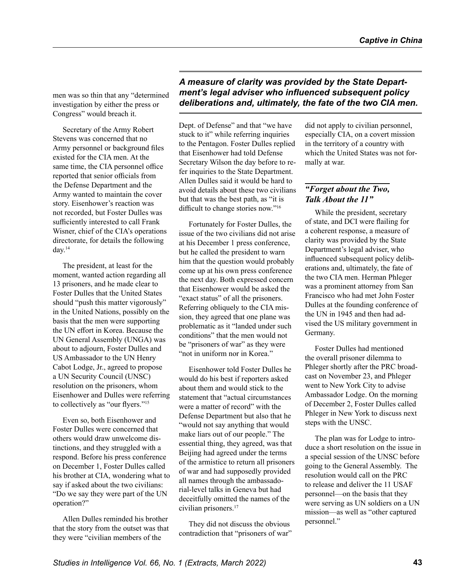men was so thin that any "determined investigation by either the press or Congress" would breach it.

Secretary of the Army Robert Stevens was concerned that no Army personnel or background files existed for the CIA men. At the same time, the CIA personnel office reported that senior officials from the Defense Department and the Army wanted to maintain the cover story. Eisenhower's reaction was not recorded, but Foster Dulles was sufficiently interested to call Frank Wisner, chief of the CIA's operations directorate, for details the following day.[14](#page-11-13)

The president, at least for the moment, wanted action regarding all 13 prisoners, and he made clear to Foster Dulles that the United States should "push this matter vigorously" in the United Nations, possibly on the basis that the men were supporting the UN effort in Korea. Because the UN General Assembly (UNGA) was about to adjourn, Foster Dulles and US Ambassador to the UN Henry Cabot Lodge, Jr., agreed to propose a UN Security Council (UNSC) resolution on the prisoners, whom Eisenhower and Dulles were referring to collectively as "our flyers."[15](#page-11-14)

Even so, both Eisenhower and Foster Dulles were concerned that others would draw unwelcome distinctions, and they struggled with a respond. Before his press conference on December 1, Foster Dulles called his brother at CIA, wondering what to say if asked about the two civilians: "Do we say they were part of the UN operation?"

Allen Dulles reminded his brother that the story from the outset was that they were "civilian members of the

# *A measure of clarity was provided by the State Department's legal adviser who influenced subsequent policy deliberations and, ultimately, the fate of the two CIA men.*

Dept. of Defense" and that "we have stuck to it" while referring inquiries to the Pentagon. Foster Dulles replied that Eisenhower had told Defense Secretary Wilson the day before to refer inquiries to the State Department. Allen Dulles said it would be hard to avoid details about these two civilians but that was the best path, as "it is difficult to change stories now.["16](#page-11-15)

Fortunately for Foster Dulles, the issue of the two civilians did not arise at his December 1 press conference, but he called the president to warn him that the question would probably come up at his own press conference the next day. Both expressed concern that Eisenhower would be asked the "exact status" of all the prisoners. Referring obliquely to the CIA mission, they agreed that one plane was problematic as it "landed under such conditions" that the men would not be "prisoners of war" as they were "not in uniform nor in Korea."

Eisenhower told Foster Dulles he would do his best if reporters asked about them and would stick to the statement that "actual circumstances were a matter of record" with the Defense Department but also that he "would not say anything that would make liars out of our people." The essential thing, they agreed, was that Beijing had agreed under the terms of the armistice to return all prisoners of war and had supposedly provided all names through the ambassadorial-level talks in Geneva but had deceitfully omitted the names of the civilian prisoners[.17](#page-11-16)

They did not discuss the obvious contradiction that "prisoners of war"

did not apply to civilian personnel, especially CIA, on a covert mission in the territory of a country with which the United States was not formally at war.

# *"Forget about the Two, Talk About the 11"*

While the president, secretary of state, and DCI were flailing for a coherent response, a measure of clarity was provided by the State Department's legal adviser, who influenced subsequent policy deliberations and, ultimately, the fate of the two CIA men. Herman Phleger was a prominent attorney from San Francisco who had met John Foster Dulles at the founding conference of the UN in 1945 and then had advised the US military government in Germany.

Foster Dulles had mentioned the overall prisoner dilemma to Phleger shortly after the PRC broadcast on November 23, and Phleger went to New York City to advise Ambassador Lodge. On the morning of December 2, Foster Dulles called Phleger in New York to discuss next steps with the UNSC.

The plan was for Lodge to introduce a short resolution on the issue in a special session of the UNSC before going to the General Assembly. The resolution would call on the PRC to release and deliver the 11 USAF personnel—on the basis that they were serving as UN soldiers on a UN mission—as well as "other captured personnel."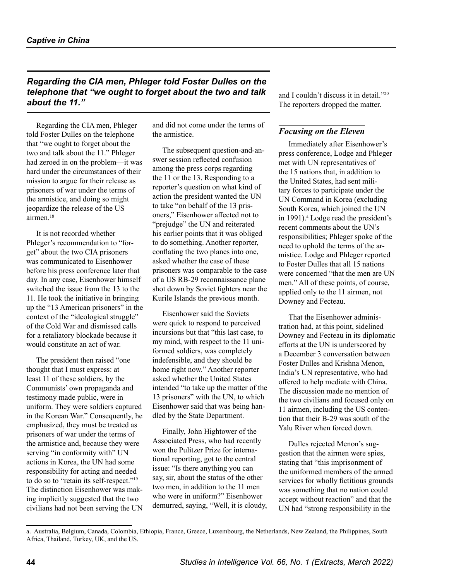# *Regarding the CIA men, Phleger told Foster Dulles on the telephone that "we ought to forget about the two and talk about the 11."*

Regarding the CIA men, Phleger told Foster Dulles on the telephone that "we ought to forget about the two and talk about the 11." Phleger had zeroed in on the problem—it was hard under the circumstances of their mission to argue for their release as prisoners of war under the terms of the armistice, and doing so might jeopardize the release of the US airmen<sup>[18](#page-11-17)</sup>

It is not recorded whether Phleger's recommendation to "forget" about the two CIA prisoners was communicated to Eisenhower before his press conference later that day. In any case, Eisenhower himself switched the issue from the 13 to the 11. He took the initiative in bringing up the "13 American prisoners" in the context of the "ideological struggle" of the Cold War and dismissed calls for a retaliatory blockade because it would constitute an act of war.

The president then raised "one thought that I must express: at least 11 of these soldiers, by the Communists' own propaganda and testimony made public, were in uniform. They were soldiers captured in the Korean War." Consequently, he emphasized, they must be treated as prisoners of war under the terms of the armistice and, because they were serving "in conformity with" UN actions in Korea, the UN had some responsibility for acting and needed to do so to "retain its self-respect."[19](#page-12-0) The distinction Eisenhower was making implicitly suggested that the two civilians had not been serving the UN and did not come under the terms of the armistice.

The subsequent question-and-answer session reflected confusion among the press corps regarding the 11 or the 13. Responding to a reporter's question on what kind of action the president wanted the UN to take "on behalf of the 13 prisoners," Eisenhower affected not to "prejudge" the UN and reiterated his earlier points that it was obliged to do something. Another reporter, conflating the two planes into one, asked whether the case of these prisoners was comparable to the case of a US RB-29 reconnaissance plane shot down by Soviet fighters near the Kurile Islands the previous month.

Eisenhower said the Soviets were quick to respond to perceived incursions but that "this last case, to my mind, with respect to the 11 uniformed soldiers, was completely indefensible, and they should be home right now." Another reporter asked whether the United States intended "to take up the matter of the 13 prisoners" with the UN, to which Eisenhower said that was being handled by the State Department.

Finally, John Hightower of the Associated Press, who had recently won the Pulitzer Prize for international reporting, got to the central issue: "Is there anything you can say, sir, about the status of the other two men, in addition to the 11 men who were in uniform?" Eisenhower demurred, saying, "Well, it is cloudy, and I couldn't discuss it in detail.["20](#page-12-1) The reporters dropped the matter.

## *Focusing on the Eleven*

Immediately after Eisenhower's press conference, Lodge and Phleger met with UN representatives of the 15 nations that, in addition to the United States, had sent military forces to participate under the UN Command in Korea (excluding South Korea, which joined the UN in 1991).<sup>a</sup> Lodge read the president's recent comments about the UN's responsibilities; Phleger spoke of the need to uphold the terms of the armistice. Lodge and Phleger reported to Foster Dulles that all 15 nations were concerned "that the men are UN men." All of these points, of course, applied only to the 11 airmen, not Downey and Fecteau.

That the Eisenhower administration had, at this point, sidelined Downey and Fecteau in its diplomatic efforts at the UN is underscored by a December 3 conversation between Foster Dulles and Krishna Menon, India's UN representative, who had offered to help mediate with China. The discussion made no mention of the two civilians and focused only on 11 airmen, including the US contention that their B-29 was south of the Yalu River when forced down.

Dulles rejected Menon's suggestion that the airmen were spies, stating that "this imprisonment of the uniformed members of the armed services for wholly fictitious grounds was something that no nation could accept without reaction" and that the UN had "strong responsibility in the

a. Australia, Belgium, Canada, Colombia, Ethiopia, France, Greece, Luxembourg, the Netherlands, New Zealand, the Philippines, South Africa, Thailand, Turkey, UK, and the US.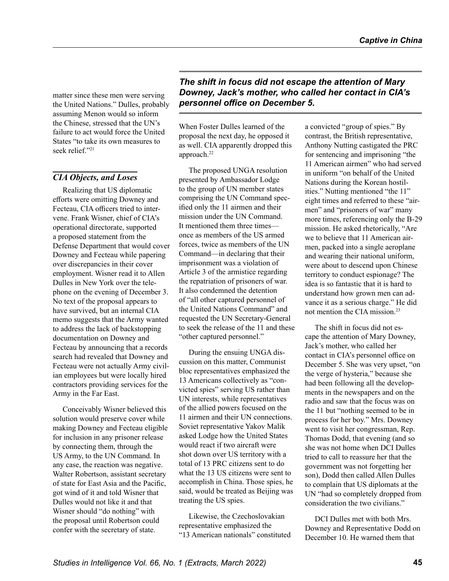matter since these men were serving the United Nations." Dulles, probably assuming Menon would so inform the Chinese, stressed that the UN's failure to act would force the United States "to take its own measures to seek relief."<sup>[21](#page-12-2)</sup>

#### *CIA Objects, and Loses*

Realizing that US diplomatic efforts were omitting Downey and Fecteau, CIA officers tried to intervene. Frank Wisner, chief of CIA's operational directorate, supported a proposed statement from the Defense Department that would cover Downey and Fecteau while papering over discrepancies in their cover employment. Wisner read it to Allen Dulles in New York over the telephone on the evening of December 3. No text of the proposal appears to have survived, but an internal CIA memo suggests that the Army wanted to address the lack of backstopping documentation on Downey and Fecteau by announcing that a records search had revealed that Downey and Fecteau were not actually Army civilian employees but were locally hired contractors providing services for the Army in the Far East.

Conceivably Wisner believed this solution would preserve cover while making Downey and Fecteau eligible for inclusion in any prisoner release by connecting them, through the US Army, to the UN Command. In any case, the reaction was negative. Walter Robertson, assistant secretary of state for East Asia and the Pacific, got wind of it and told Wisner that Dulles would not like it and that Wisner should "do nothing" with the proposal until Robertson could confer with the secretary of state.

*The shift in focus did not escape the attention of Mary Downey, Jack's mother, who called her contact in CIA's personnel office on December 5.* 

When Foster Dulles learned of the proposal the next day, he opposed it as well. CIA apparently dropped this approach.[22](#page-12-3)

The proposed UNGA resolution presented by Ambassador Lodge to the group of UN member states comprising the UN Command specified only the 11 airmen and their mission under the UN Command. It mentioned them three times once as members of the US armed forces, twice as members of the UN Command—in declaring that their imprisonment was a violation of Article 3 of the armistice regarding the repatriation of prisoners of war. It also condemned the detention of "all other captured personnel of the United Nations Command" and requested the UN Secretary-General to seek the release of the 11 and these "other captured personnel."

During the ensuing UNGA discussion on this matter, Communist bloc representatives emphasized the 13 Americans collectively as "convicted spies" serving US rather than UN interests, while representatives of the allied powers focused on the 11 airmen and their UN connections. Soviet representative Yakov Malik asked Lodge how the United States would react if two aircraft were shot down over US territory with a total of 13 PRC citizens sent to do what the 13 US citizens were sent to accomplish in China. Those spies, he said, would be treated as Beijing was treating the US spies.

Likewise, the Czechoslovakian representative emphasized the "13 American nationals" constituted a convicted "group of spies." By contrast, the British representative, Anthony Nutting castigated the PRC for sentencing and imprisoning "the 11 American airmen" who had served in uniform "on behalf of the United Nations during the Korean hostilities." Nutting mentioned "the 11" eight times and referred to these "airmen" and "prisoners of war" many more times, referencing only the B-29 mission. He asked rhetorically, "Are we to believe that 11 American airmen, packed into a single aeroplane and wearing their national uniform, were about to descend upon Chinese territory to conduct espionage? The idea is so fantastic that it is hard to understand how grown men can advance it as a serious charge." He did not mention the CIA mission.[23](#page-12-4)

The shift in focus did not escape the attention of Mary Downey, Jack's mother, who called her contact in CIA's personnel office on December 5. She was very upset, "on the verge of hysteria," because she had been following all the developments in the newspapers and on the radio and saw that the focus was on the 11 but "nothing seemed to be in process for her boy." Mrs. Downey went to visit her congressman, Rep. Thomas Dodd, that evening (and so she was not home when DCI Dulles tried to call to reassure her that the government was not forgetting her son), Dodd then called Allen Dulles to complain that US diplomats at the UN "had so completely dropped from consideration the two civilians."

DCI Dulles met with both Mrs. Downey and Representative Dodd on December 10. He warned them that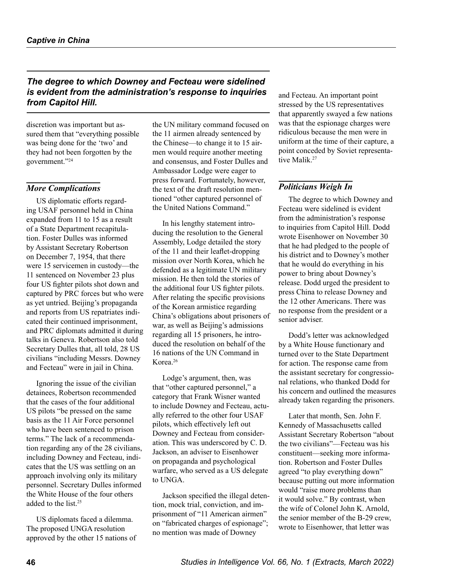# *The degree to which Downey and Fecteau were sidelined is evident from the administration's response to inquiries from Capitol Hill.*

discretion was important but assured them that "everything possible was being done for the 'two' and they had not been forgotten by the government.["24](#page-12-5)

#### *More Complications*

US diplomatic efforts regarding USAF personnel held in China expanded from 11 to 15 as a result of a State Department recapitulation. Foster Dulles was informed by Assistant Secretary Robertson on December 7, 1954, that there were 15 servicemen in custody—the 11 sentenced on November 23 plus four US fighter pilots shot down and captured by PRC forces but who were as yet untried. Beijing's propaganda and reports from US repatriates indicated their continued imprisonment, and PRC diplomats admitted it during talks in Geneva. Robertson also told Secretary Dulles that, all told, 28 US civilians "including Messrs. Downey and Fecteau" were in jail in China.

Ignoring the issue of the civilian detainees, Robertson recommended that the cases of the four additional US pilots "be pressed on the same basis as the 11 Air Force personnel who have been sentenced to prison terms." The lack of a recommendation regarding any of the 28 civilians, including Downey and Fecteau, indicates that the US was settling on an approach involving only its military personnel. Secretary Dulles informed the White House of the four others added to the list.<sup>[25](#page-12-6)</sup>

US diplomats faced a dilemma. The proposed UNGA resolution approved by the other 15 nations of the UN military command focused on the 11 airmen already sentenced by the Chinese—to change it to 15 airmen would require another meeting and consensus, and Foster Dulles and Ambassador Lodge were eager to press forward. Fortunately, however, the text of the draft resolution mentioned "other captured personnel of the United Nations Command."

In his lengthy statement introducing the resolution to the General Assembly, Lodge detailed the story of the 11 and their leaflet-dropping mission over North Korea, which he defended as a legitimate UN military mission. He then told the stories of the additional four US fighter pilots. After relating the specific provisions of the Korean armistice regarding China's obligations about prisoners of war, as well as Beijing's admissions regarding all 15 prisoners, he introduced the resolution on behalf of the 16 nations of the UN Command in Korea.[26](#page-12-7)

Lodge's argument, then, was that "other captured personnel," a category that Frank Wisner wanted to include Downey and Fecteau, actually referred to the other four USAF pilots, which effectively left out Downey and Fecteau from consideration. This was underscored by C. D. Jackson, an adviser to Eisenhower on propaganda and psychological warfare, who served as a US delegate to UNGA.

Jackson specified the illegal detention, mock trial, conviction, and imprisonment of "11 American airmen" on "fabricated charges of espionage"; no mention was made of Downey

and Fecteau. An important point stressed by the US representatives that apparently swayed a few nations was that the espionage charges were ridiculous because the men were in uniform at the time of their capture, a point conceded by Soviet representative Malik.<sup>27</sup>

#### *Politicians Weigh In*

The degree to which Downey and Fecteau were sidelined is evident from the administration's response to inquiries from Capitol Hill. Dodd wrote Eisenhower on November 30 that he had pledged to the people of his district and to Downey's mother that he would do everything in his power to bring about Downey's release. Dodd urged the president to press China to release Downey and the 12 other Americans. There was no response from the president or a senior adviser.

Dodd's letter was acknowledged by a White House functionary and turned over to the State Department for action. The response came from the assistant secretary for congressional relations, who thanked Dodd for his concern and outlined the measures already taken regarding the prisoners.

Later that month, Sen. John F. Kennedy of Massachusetts called Assistant Secretary Robertson "about the two civilians"—Fecteau was his constituent—seeking more information. Robertson and Foster Dulles agreed "to play everything down" because putting out more information would "raise more problems than it would solve." By contrast, when the wife of Colonel John K. Arnold, the senior member of the B-29 crew, wrote to Eisenhower, that letter was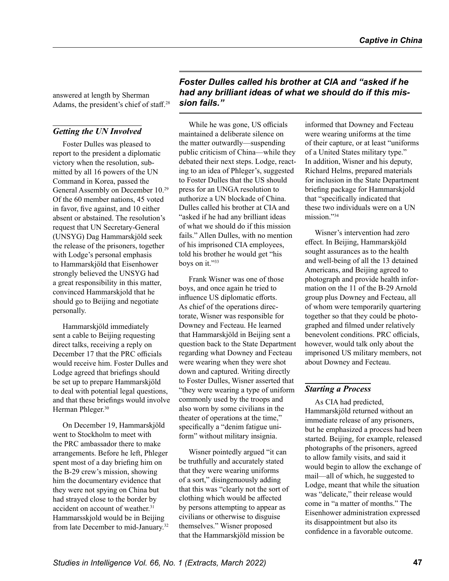answered at length by Sherman Adams, the president's chief of staff.[28](#page-12-9)

#### *Getting the UN Involved*

Foster Dulles was pleased to report to the president a diplomatic victory when the resolution, submitted by all 16 powers of the UN Command in Korea, passed the General Assembly on December 10.[29](#page-12-10) Of the 60 member nations, 45 voted in favor, five against, and 10 either absent or abstained. The resolution's request that UN Secretary-General (UNSYG) Dag Hammarskjöld seek the release of the prisoners, together with Lodge's personal emphasis to Hammarskjöld that Eisenhower strongly believed the UNSYG had a great responsibility in this matter, convinced Hammarskjold that he should go to Beijing and negotiate personally.

Hammarskjöld immediately sent a cable to Beijing requesting direct talks, receiving a reply on December 17 that the PRC officials would receive him. Foster Dulles and Lodge agreed that briefings should be set up to prepare Hammarskjöld to deal with potential legal questions, and that these briefings would involve Herman Phleger.<sup>[30](#page-12-11)</sup>

On December 19, Hammarskjöld went to Stockholm to meet with the PRC ambassador there to make arrangements. Before he left, Phleger spent most of a day briefing him on the B-29 crew's mission, showing him the documentary evidence that they were not spying on China but had strayed close to the border by accident on account of weather.<sup>[31](#page-12-12)</sup> Hammarsskjold would be in Beijing from late December to mid-January.[32](#page-12-13) *Foster Dulles called his brother at CIA and "asked if he had any brilliant ideas of what we should do if this mission fails."* 

While he was gone, US officials maintained a deliberate silence on the matter outwardly—suspending public criticism of China—while they debated their next steps. Lodge, reacting to an idea of Phleger's, suggested to Foster Dulles that the US should press for an UNGA resolution to authorize a UN blockade of China. Dulles called his brother at CIA and "asked if he had any brilliant ideas of what we should do if this mission fails." Allen Dulles, with no mention of his imprisoned CIA employees, told his brother he would get "his boys on it."[33](#page-12-14)

Frank Wisner was one of those boys, and once again he tried to influence US diplomatic efforts. As chief of the operations directorate, Wisner was responsible for Downey and Fecteau. He learned that Hammarskjöld in Beijing sent a question back to the State Department regarding what Downey and Fecteau were wearing when they were shot down and captured. Writing directly to Foster Dulles, Wisner asserted that "they were wearing a type of uniform commonly used by the troops and also worn by some civilians in the theater of operations at the time," specifically a "denim fatigue uniform" without military insignia.

Wisner pointedly argued "it can be truthfully and accurately stated that they were wearing uniforms of a sort," disingenuously adding that this was "clearly not the sort of clothing which would be affected by persons attempting to appear as civilians or otherwise to disguise themselves." Wisner proposed that the Hammarskjöld mission be

informed that Downey and Fecteau were wearing uniforms at the time of their capture, or at least "uniforms of a United States military type." In addition, Wisner and his deputy, Richard Helms, prepared materials for inclusion in the State Department briefing package for Hammarskjold that "specifically indicated that these two individuals were on a UN mission."[34](#page-12-15)

Wisner's intervention had zero effect. In Beijing, Hammarskjöld sought assurances as to the health and well-being of all the 13 detained Americans, and Beijing agreed to photograph and provide health information on the 11 of the B-29 Arnold group plus Downey and Fecteau, all of whom were temporarily quartering together so that they could be photographed and filmed under relatively benevolent conditions. PRC officials, however, would talk only about the imprisoned US military members, not about Downey and Fecteau.

#### *Starting a Process*

As CIA had predicted, Hammarskjöld returned without an immediate release of any prisoners, but he emphasized a process had been started. Beijing, for example, released photographs of the prisoners, agreed to allow family visits, and said it would begin to allow the exchange of mail—all of which, he suggested to Lodge, meant that while the situation was "delicate," their release would come in "a matter of months." The Eisenhower administration expressed its disappointment but also its confidence in a favorable outcome.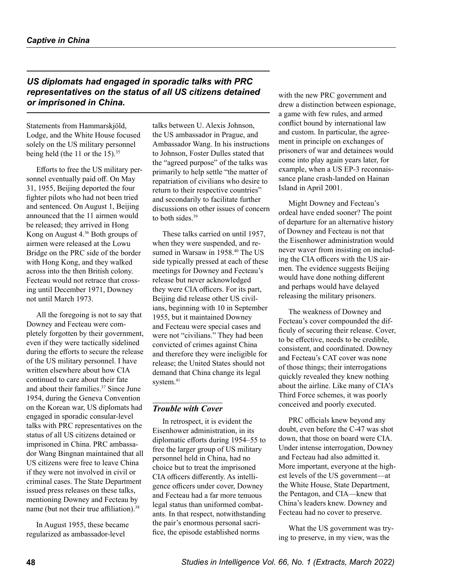# *US diplomats had engaged in sporadic talks with PRC representatives on the status of all US citizens detained or imprisoned in China.*

Statements from Hammarskjöld, Lodge, and the White House focused solely on the US military personnel being held (the 11 or the 15).<sup>[35](#page-12-16)</sup>

Efforts to free the US military personnel eventually paid off. On May 31, 1955, Beijing deported the four fighter pilots who had not been tried and sentenced. On August 1, Beijing announced that the 11 airmen would be released; they arrived in Hong Kong on August 4.[36](#page-12-17) Both groups of airmen were released at the Lowu Bridge on the PRC side of the border with Hong Kong, and they walked across into the then British colony. Fecteau would not retrace that crossing until December 1971, Downey not until March 1973.

All the foregoing is not to say that Downey and Fecteau were completely forgotten by their government, even if they were tactically sidelined during the efforts to secure the release of the US military personnel. I have written elsewhere about how CIA continued to care about their fate and about their families[.37](#page-12-18) Since June 1954, during the Geneva Convention on the Korean war, US diplomats had engaged in sporadic consular-level talks with PRC representatives on the status of all US citizens detained or imprisoned in China. PRC ambassador Wang Bingnan maintained that all US citizens were free to leave China if they were not involved in civil or criminal cases. The State Department issued press releases on these talks, mentioning Downey and Fecteau by name (but not their true affiliation).<sup>38</sup>

In August 1955, these became regularized as ambassador-level

talks between U. Alexis Johnson, the US ambassador in Prague, and Ambassador Wang. In his instructions to Johnson, Foster Dulles stated that the "agreed purpose" of the talks was primarily to help settle "the matter of repatriation of civilians who desire to return to their respective countries" and secondarily to facilitate further discussions on other issues of concern to both sides.<sup>[39](#page-13-1)</sup>

These talks carried on until 1957, when they were suspended, and resumed in Warsaw in 1958.<sup>40</sup> The US side typically pressed at each of these meetings for Downey and Fecteau's release but never acknowledged they were CIA officers. For its part, Beijing did release other US civilians, beginning with 10 in September 1955, but it maintained Downey and Fecteau were special cases and were not "civilians." They had been convicted of crimes against China and therefore they were ineligible for release; the United States should not demand that China change its legal system.<sup>[41](#page-13-3)</sup>

#### *Trouble with Cover*

In retrospect, it is evident the Eisenhower administration, in its diplomatic efforts during 1954–55 to free the larger group of US military personnel held in China, had no choice but to treat the imprisoned CIA officers differently. As intelligence officers under cover, Downey and Fecteau had a far more tenuous legal status than uniformed combatants. In that respect, notwithstanding the pair's enormous personal sacrifice, the episode established norms

with the new PRC government and drew a distinction between espionage, a game with few rules, and armed conflict bound by international law and custom. In particular, the agreement in principle on exchanges of prisoners of war and detainees would come into play again years later, for example, when a US EP-3 reconnaissance plane crash-landed on Hainan Island in April 2001.

Might Downey and Fecteau's ordeal have ended sooner? The point of departure for an alternative history of Downey and Fecteau is not that the Eisenhower administration would never waver from insisting on including the CIA officers with the US airmen. The evidence suggests Beijing would have done nothing different and perhaps would have delayed releasing the military prisoners.

The weakness of Downey and Fecteau's cover compounded the difficuly of securing their release. Cover, to be effective, needs to be credible, consistent, and coordinated. Downey and Fecteau's CAT cover was none of those things; their interrogations quickly revealed they knew nothing about the airline. Like many of CIA's Third Force schemes, it was poorly conceived and poorly executed.

PRC officials knew beyond any doubt, even before the C-47 was shot down, that those on board were CIA. Under intense interrogation, Downey and Fecteau had also admitted it. More important, everyone at the highest levels of the US government—at the White House, State Department, the Pentagon, and CIA—knew that China's leaders knew. Downey and Fecteau had no cover to preserve.

What the US government was trying to preserve, in my view, was the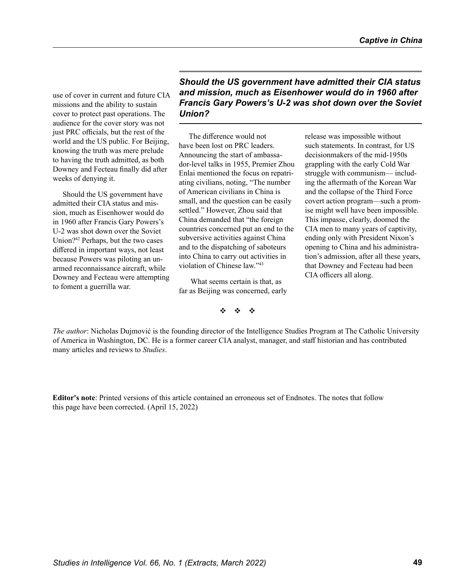use of cover in current and future CIA missions and the ability to sustain cover to protect past operations. The audience for the cover story was not just PRC officials, but the rest of the world and the US public. For Beijing, knowing the truth was mere prelude to having the truth admitted, as both Downey and Fecteau finally did after weeks of denying it.

Should the US government have admitted their CIA status and mission, much as Eisenhower would do in 1960 after Francis Gary Powers's U-2 was shot down over the Soviet Union?[42](#page-13-4) Perhaps, but the two cases differed in important ways, not least because Powers was piloting an unarmed reconnaissance aircraft, while Downey and Fecteau were attempting to foment a guerrilla war.

*Should the US government have admitted their CIA status and mission, much as Eisenhower would do in 1960 after Francis Gary Powers's U-2 was shot down over the Soviet Union?*

The difference would not have been lost on PRC leaders. Announcing the start of ambassador-level talks in 1955, Premier Zhou Enlai mentioned the focus on repatriating civilians, noting, "The number of American civilians in China is small, and the question can be easily settled." However, Zhou said that China demanded that "the foreign countries concerned put an end to the subversive activities against China and to the dispatching of saboteurs into China to carry out activities in violation of Chinese law."[43](#page-13-5)

 What seems certain is that, as far as Beijing was concerned, early release was impossible without such statements. In contrast, for US decisionmakers of the mid-1950s grappling with the early Cold War struggle with communism— including the aftermath of the Korean War and the collapse of the Third Force covert action program—such a promise might well have been impossible. This impasse, clearly, doomed the CIA men to many years of captivity, ending only with President Nixon's opening to China and his administration's admission, after all these years, that Downey and Fecteau had been CIA officers all along.

v v v

*The author*: Nicholas Dujmović is the founding director of the Intelligence Studies Program at The Catholic University of America in Washington, DC. He is a former career CIA analyst, manager, and staff historian and has contributed many articles and reviews to *Studies*.

**Editor's note**: Printed versions of this article contained an erroneous set of Endnotes. The notes that follow this page have been corrected. (April 15, 2022)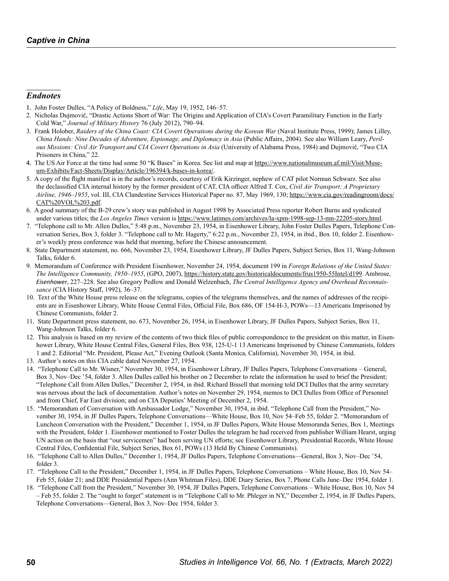#### *Endnotes*

- <span id="page-11-0"></span>1. John Foster Dulles, "A Policy of Boldness," *Life*, May 19, 1952, 146–57.
- <span id="page-11-1"></span>2. Nicholas Dujmović, "Drastic Actions Short of War: The Origins and Application of CIA's Covert Paramilitary Function in the Early Cold War," *Journal of Military History* 76 (July 2012), 790–94.
- <span id="page-11-2"></span>3. Frank Holober, *Raiders of the China Coast: CIA Covert Operations during the Korean War* (Naval Institute Press, 1999); James Lilley, *China Hands: Nine Decades of Adventure, Espionage, and Diplomacy in Asia* (Public Affairs, 2004). See also William Leary, *Perilous Missions: Civil Air Transport and CIA Covert Operations in Asia* (University of Alabama Press, 1984) and Dujmović, "Two CIA Prisoners in China," 22.
- <span id="page-11-3"></span>4. The US Air Force at the time had some 50 "K Bases" in Korea. See list and map at [https://www.nationalmuseum.af.mil/Visit/Muse](https://www.nationalmuseum.af.mil/Visit/Museum-Exhibits/Fact-Sheets/Display/Article/196394/k-bases-in-korea/)[um-Exhibits/Fact-Sheets/Display/Article/196394/k-bases-in-korea/](https://www.nationalmuseum.af.mil/Visit/Museum-Exhibits/Fact-Sheets/Display/Article/196394/k-bases-in-korea/).
- <span id="page-11-4"></span>5. A copy of the flight manifest is in the author's records, courtesy of Erik Kirzinger, nephew of CAT pilot Norman Schwarz. See also the declassified CIA internal history by the former president of CAT, CIA officer Alfred T. Cox, *Civil Air Transport: A Proprietary Airline, 1946–1955*, vol. III, CIA Clandestine Services Historical Paper no. 87, May 1969, 130; [https://www.cia.gov/readingroom/docs/](https://www.cia.gov/readingroom/docs/CAT%20VOL%203.pdf) [CAT%20VOL%203.pdf](https://www.cia.gov/readingroom/docs/CAT%20VOL%203.pdf).
- <span id="page-11-5"></span>6. A good summary of the B-29 crew's story was published in August 1998 by Associated Press reporter Robert Burns and syndicated under various titles; the *Los Angeles Times* version is <https://www.latimes.com/archives/la-xpm-1998-sep-13-mn-22205-story.html>.
- <span id="page-11-6"></span>7. "Telephone call to Mr. Allen Dulles," 5:48 p.m., November 23, 1954, in Eisenhower Library, John Foster Dulles Papers, Telephone Conversation Series, Box 3, folder 3. "Telephone call to Mr. Hagerty," 6:22 p.m., November 23, 1954, in ibid., Box 10, folder 2. Eisenhower's weekly press conference was held that morning, before the Chinese announcement.
- <span id="page-11-7"></span>8. State Department statement, no. 666, November 23, 1954, Eisenhower Library, JF Dulles Papers, Subject Series, Box 11, Wang-Johnson Talks, folder 6.
- <span id="page-11-8"></span>9. Memorandum of Conference with President Eisenhower, November 24, 1954, document 199 in *Foreign Relations of the United States: The Intelligence Community, 1950–1955*, (GPO, 2007), [https://history.state.gov/historicaldocuments/frus1950-55Intel/d199.](https://history.state.gov/historicaldocuments/frus1950-55Intel/d199) Ambrose, *Eisenhower*, 227–228. See also Gregory Pedlow and Donald Welzenbach, *The Central Intelligence Agency and Overhead Reconnaissance* (CIA History Staff, 1992), 36–37.
- <span id="page-11-9"></span>10. Text of the White House press release on the telegrams, copies of the telegrams themselves, and the names of addresses of the recipients are in Eisenhower Library, White House Central Files, Official File, Box 686, OF 154-H-3, POWs—13 Americans Imprisoned by Chinese Communists, folder 2.
- <span id="page-11-10"></span>11. State Department press statement, no. 673, November 26, 1954, in Eisenhower Library, JF Dulles Papers, Subject Series, Box 11, Wang-Johnson Talks, folder 6.
- <span id="page-11-11"></span>12. This analysis is based on my review of the contents of two thick files of public correspondence to the president on this matter, in Eisenhower Library, White House Central Files, General Files, Box 938, 125-U-1 13 Americans Imprisoned by Chinese Communists, folders 1 and 2. Editorial "Mr. President, Please Act," Evening Outlook (Santa Monica, California), November 30, 1954, in ibid.
- <span id="page-11-12"></span>13. Author's notes on this CIA cable dated November 27, 1954.
- <span id="page-11-13"></span>14. "Telephone Call to Mr. Wisner," November 30, 1954, in Eisenhower Library, JF Dulles Papers, Telephone Conversations – General, Box 3, Nov–Dec '54, folder 3. Allen Dulles called his brother on 2 December to relate the information he used to brief the President; "Telephone Call from Allen Dulles," December 2, 1954, in ibid. Richard Bissell that morning told DCI Dulles that the army secretary was nervous about the lack of documentation. Author's notes on November 29, 1954, memos to DCI Dulles from Office of Personnel and from Chief, Far East division; and on CIA Deputies' Meeting of December 2, 1954.
- <span id="page-11-14"></span>15. "Memorandum of Conversation with Ambassador Lodge," November 30, 1954, in ibid. "Telephone Call from the President," November 30, 1954, in JF Dulles Papers, Telephone Conversations—White House, Box 10, Nov 54–Feb 55, folder 2. "Memorandum of Luncheon Conversation with the President," December 1, 1954, in JF Dulles Papers, White House Memoranda Series, Box 1, Meetings with the President, folder 1. Eisenhower mentioned to Foster Dulles the telegram he had received from publisher William Hearst, urging UN action on the basis that "our servicemen" had been serving UN efforts; see Eisenhower Library, Presidential Records, White House Central Files, Confidential File, Subject Series, Box 61, POWs (13 Held By Chinese Communists).
- <span id="page-11-15"></span>16. "Telephone Call to Allen Dulles," December 1, 1954, JF Dulles Papers, Telephone Conversations—General, Box 3, Nov–Dec '54, folder 3.
- <span id="page-11-16"></span>17. "Telephone Call to the President," December 1, 1954, in JF Dulles Papers, Telephone Conversations – White House, Box 10, Nov 54– Feb 55, folder 21; and DDE Presidential Papers (Ann Whitman Files), DDE Diary Series, Box 7, Phone Calls June–Dec 1954, folder 1.
- <span id="page-11-17"></span>18. "Telephone Call from the President," November 30, 1954, JF Dulles Papers, Telephone Conversations – White House, Box 10, Nov 54 – Feb 55, folder 2. The "ought to forget" statement is in "Telephone Call to Mr. Phleger in NY," December 2, 1954, in JF Dulles Papers, Telephone Conversations—General, Box 3, Nov–Dec 1954, folder 3.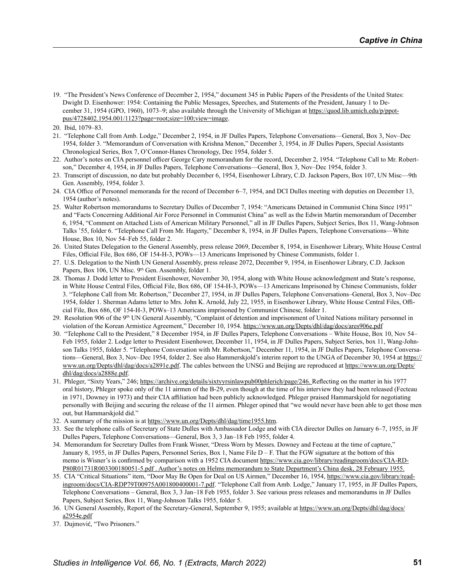<span id="page-12-0"></span>19. "The President's News Conference of December 2, 1954," document 345 in Public Papers of the Presidents of the United States: Dwight D. Eisenhower: 1954: Containing the Public Messages, Speeches, and Statements of the President, January 1 to December 31, 1954 (GPO, 1960), 1073–9; also available through the University of Michigan at [https://quod.lib.umich.edu/p/ppot](https://quod.lib.umich.edu/p/ppotpus/4728402.1954.001/1123?page=root;size=100;view=image)[pus/4728402.1954.001/1123?page=root;size=100;view=image](https://quod.lib.umich.edu/p/ppotpus/4728402.1954.001/1123?page=root;size=100;view=image).

- <span id="page-12-2"></span>21. "Telephone Call from Amb. Lodge," December 2, 1954, in JF Dulles Papers, Telephone Conversations—General, Box 3, Nov–Dec 1954, folder 3. "Memorandum of Conversation with Krishna Menon," December 3, 1954, in JF Dulles Papers, Special Assistants Chronological Series, Box 7, O'Connor-Hanes Chronology, Dec 1954, folder 5.
- <span id="page-12-3"></span>22. Author's notes on CIA personnel officer George Cary memorandum for the record, December 2, 1954. "Telephone Call to Mr. Robertson," December 4, 1954, in JF Dulles Papers, Telephone Conversations—General, Box 3, Nov–Dec 1954, folder 3.
- <span id="page-12-4"></span>23. Transcript of discussion, no date but probably December 6, 1954, Eisenhower Library, C.D. Jackson Papers, Box 107, UN Misc—9th Gen. Assembly, 1954, folder 3.
- <span id="page-12-5"></span>24. CIA Office of Personnel memoranda for the record of December 6–7, 1954, and DCI Dulles meeting with deputies on December 13, 1954 (author's notes).
- <span id="page-12-6"></span>25. Walter Robertson memorandums to Secretary Dulles of December 7, 1954: "Americans Detained in Communist China Since 1951" and "Facts Concerning Additional Air Force Personnel in Communist China" as well as the Edwin Martin memorandum of December 6, 1954, "Comment on Attached Lists of American Military Personnel," all in JF Dulles Papers, Subject Series, Box 11, Wang-Johnson Talks '55, folder 6. "Telephone Call From Mr. Hagerty," December 8, 1954, in JF Dulles Papers, Telephone Conversations—White House, Box 10, Nov 54–Feb 55, folder 2.
- <span id="page-12-7"></span>26. United States Delegation to the General Assembly, press release 2069, December 8, 1954, in Eisenhower Library, White House Central Files, Official File, Box 686, OF 154-H-3, POWs—13 Americans Imprisoned by Chinese Communists, folder 1.
- <span id="page-12-8"></span>27. U.S. Delegation to the Ninth UN General Assembly, press release 2072, December 9, 1954, in Eisenhower Library, C.D. Jackson Papers, Box 106, UN Misc. 9<sup>th</sup> Gen. Assembly, folder 1.
- <span id="page-12-9"></span>28. Thomas J. Dodd letter to President Eisenhower, November 30, 1954, along with White House acknowledgment and State's response, in White House Central Files, Official File, Box 686, OF 154-H-3, POWs—13 Americans Imprisoned by Chinese Communists, folder 3. "Telephone Call from Mr. Robertson," December 27, 1954, in JF Dulles Papers, Telephone Conversations–General, Box 3, Nov–Dec 1954, folder 1. Sherman Adams letter to Mrs. John K. Arnold, July 22, 1955, in Eisenhower Library, White House Central Files, Official File, Box 686, OF 154-H-3, POWs–13 Americans imprisoned by Communist Chinese, folder 1.
- <span id="page-12-10"></span>29. Resolution 906 of the 9th UN General Assembly, "Complaint of detention and imprisonment of United Nations military personnel in violation of the Korean Armistice Agreement," December 10, 1954. <https://www.un.org/Depts/dhl/dag/docs/ares906e.pdf>
- <span id="page-12-11"></span>30. "Telephone Call to the President," 8 December 1954, in JF Dulles Papers, Telephone Conversations – White House, Box 10, Nov 54– Feb 1955, folder 2. Lodge letter to President Eisenhower, December 11, 1954, in JF Dulles Papers, Subject Series, box 11, Wang-Johnson Talks 1955, folder 5. "Telephone Conversation with Mr. Robertson," December 11, 1954, in JF Dulles Papers, Telephone Conversations—General, Box 3, Nov–Dec 1954, folder 2. See also Hammerskjold's interim report to the UNGA of December 30, 1954 at [https://](https://www.un.org/Depts/dhl/dag/docs/a2891e.pdf) [www.un.org/Depts/dhl/dag/docs/a2891e.pdf](https://www.un.org/Depts/dhl/dag/docs/a2891e.pdf). The cables between the UNSG and Beijing are reproduced at [https://www.un.org/Depts/](https://www.un.org/Depts/dhl/dag/docs/a2888e.pdf) [dhl/dag/docs/a2888e.pdf](https://www.un.org/Depts/dhl/dag/docs/a2888e.pdf).
- <span id="page-12-12"></span>31. Phleger, "Sixty Years," 246;<https://archive.org/details/sixtyyrsinlawpub00phlerich/page/246>. Reflecting on the matter in his 1977 oral history, Phleger spoke only of the 11 airmen of the B-29, even though at the time of his interview they had been released (Fecteau in 1971, Downey in 1973) and their CIA affiliation had been publicly acknowledged. Phleger praised Hammarskjold for negotiating personally with Beijing and securing the release of the 11 airmen. Phleger opined that "we would never have been able to get those men out, but Hammarskjold did."
- <span id="page-12-13"></span>32. A summary of the mission is at <https://www.un.org/Depts/dhl/dag/time1955.htm>.
- <span id="page-12-14"></span>33. See the telephone calls of Secretary of State Dulles with Ambassador Lodge and with CIA director Dulles on January 6–7, 1955, in JF Dulles Papers, Telephone Conversations—General, Box 3, 3 Jan–18 Feb 1955, folder 4.
- <span id="page-12-15"></span>34. Memorandum for Secretary Dulles from Frank Wisner, "Dress Worn by Messrs. Downey and Fecteau at the time of capture," January 8, 1955, in JF Dulles Papers, Personnel Series, Box 1, Name File  $D - F$ . That the FGW signature at the bottom of this memo is Wisner's is confirmed by comparison with a 1952 CIA document [https://www.cia.gov/library/readingroom/docs/CIA-RD](https://www.cia.gov/library/readingroom/docs/CIA-RDP80R01731R003300180051-5.pdf)-[P80R01731R003300180051-5.pdf](https://www.cia.gov/library/readingroom/docs/CIA-RDP80R01731R003300180051-5.pdf) . Author's notes on Helms memorandum to State Department's China desk, 28 February 1955.
- <span id="page-12-16"></span>35. CIA "Critical Situations" item, "Door May Be Open for Deal on US Airmen," December 16, 1954, [https://www.cia.gov/library/read](https://www.cia.gov/library/readingroom/docs/CIA-RDP79T00975A001800400001-7.pdf)[ingroom/docs/CIA-RDP79T00975A001800400001-7.pdf.](https://www.cia.gov/library/readingroom/docs/CIA-RDP79T00975A001800400001-7.pdf) "Telephone Call from Amb. Lodge," January 17, 1955, in JF Dulles Papers, Telephone Conversations – General, Box 3, 3 Jan–18 Feb 1955, folder 3. See various press releases and memorandums in JF Dulles Papers, Subject Series, Box 11, Wang-Johnson Talks 1955, folder 5.
- <span id="page-12-17"></span>36. UN General Assembly, Report of the Secretary-General, September 9, 1955; available at [https://www.un.org/Depts/dhl/dag/docs/](https://www.un.org/Depts/dhl/dag/docs/a2954e.pdf) [a2954e.pdf](https://www.un.org/Depts/dhl/dag/docs/a2954e.pdf)
- <span id="page-12-18"></span>37. Dujmović, "Two Prisoners."

<span id="page-12-1"></span><sup>20.</sup> Ibid, 1079–83.